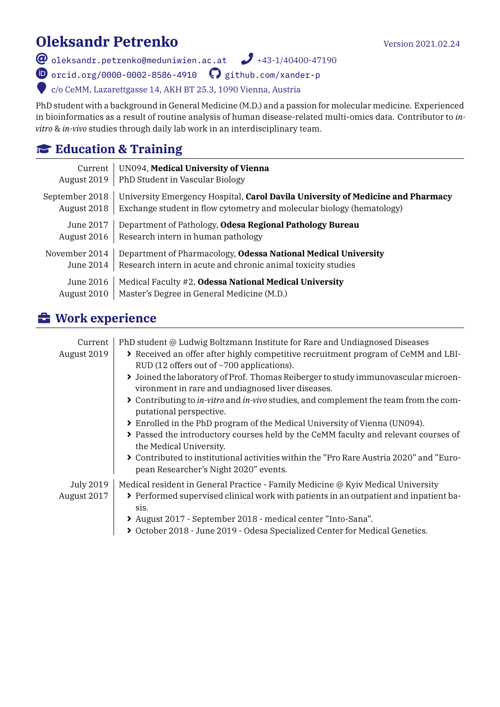# **Oleksandr Petrenko** Version 2021.02.24

 $\bullet$  [oleksandr.petrenko@meduniwien.ac.at](mailto:oleksandr.petrenko@meduniwien.ac.at)  $\bullet$  +43-1/40400-47190

 $\bullet$  [orcid.org/0000-0002-8586-4910](https://orcid.org/0000-0002-8586-4910)  $\bullet$  [github.com/xander-p](https://github.com/xander-p)

w c/o CeMM, Lazarettgasse 14, AKH BT 25.3, 1090 Vienna, Austria

PhD student with a background in General Medicine (M.D.) and a passion for molecular medicine. Experienced in bioinformatics as a result of routine analysis of human disease-related multi-omics data. Contributor to *invitro* & *in-vivo* studies through daily lab work in an interdisciplinary team.

#### **Education & Training**

| Current        | UN094, Medical University of Vienna                                             |
|----------------|---------------------------------------------------------------------------------|
| August 2019    | PhD Student in Vascular Biology                                                 |
| September 2018 | University Emergency Hospital, Carol Davila University of Medicine and Pharmacy |
| August 2018    | Exchange student in flow cytometry and molecular biology (hematology)           |
| June 2017      | Department of Pathology, Odesa Regional Pathology Bureau                        |
| August 2016    | Research intern in human pathology                                              |
| November 2014  | Department of Pharmacology, Odessa National Medical University                  |
| June 2014      | Research intern in acute and chronic animal toxicity studies                    |
| June 2016      | Medical Faculty #2, Odessa National Medical University                          |
| August 2010    | Master's Degree in General Medicine (M.D.)                                      |

## É **Work experience**

| Current<br>August 2019   | PhD student @ Ludwig Boltzmann Institute for Rare and Undiagnosed Diseases<br>> Received an offer after highly competitive recruitment program of CeMM and LBI-<br>RUD (12 offers out of $\sim$ 700 applications).<br>> Joined the laboratory of Prof. Thomas Reiberger to study immunovascular microen-<br>vironment in rare and undiagnosed liver diseases.<br>> Contributing to <i>in-vitro</i> and <i>in-vivo</i> studies, and complement the team from the com-<br>putational perspective.<br>> Enrolled in the PhD program of the Medical University of Vienna (UN094).<br>> Passed the introductory courses held by the CeMM faculty and relevant courses of<br>the Medical University.<br>> Contributed to institutional activities within the "Pro Rare Austria 2020" and "Euro-<br>pean Researcher's Night 2020" events. |
|--------------------------|------------------------------------------------------------------------------------------------------------------------------------------------------------------------------------------------------------------------------------------------------------------------------------------------------------------------------------------------------------------------------------------------------------------------------------------------------------------------------------------------------------------------------------------------------------------------------------------------------------------------------------------------------------------------------------------------------------------------------------------------------------------------------------------------------------------------------------|
| July 2019<br>August 2017 | Medical resident in General Practice - Family Medicine @ Kyiv Medical University<br>> Performed supervised clinical work with patients in an outpatient and inpatient ba-<br>sis.<br>> August 2017 - September 2018 - medical center "Into-Sana".<br>> October 2018 - June 2019 - Odesa Specialized Center for Medical Genetics.                                                                                                                                                                                                                                                                                                                                                                                                                                                                                                   |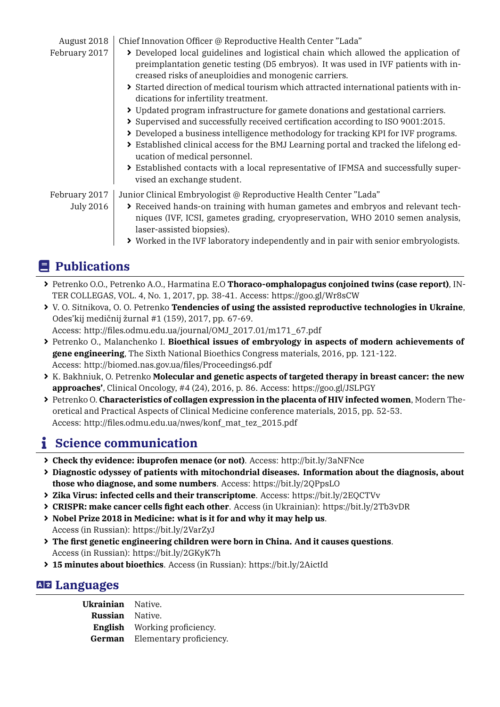August 2018 | Chief Innovation Officer @ Reproductive Health Center "Lada"

- February 2017  $\rightarrow$  Developed local guidelines and logistical chain which allowed the application of preimplantation genetic testing (D5 embryos). It was used in IVF patients with increased risks of aneuploidies and monogenic carriers.
	- þ Started direction of medical tourism which attracted international patients with indications for infertility treatment.
	- þ Updated program infrastructure for gamete donations and gestational carriers.
	- þ Supervised and successfully received certification according to ISO 9001:2015.
	- þ Developed a business intelligence methodology for tracking KPI for IVF programs.
	- þ Established clinical access for the BMJ Learning portal and tracked the lifelong education of medical personnel.
	- þ Established contacts with a local representative of IFMSA and successfully supervised an exchange student.

February 2017 Junior Clinical Embryologist @ Reproductive Health Center "Lada"

- 
- July 2016  $\blacktriangleright$  Received hands-on training with human gametes and embryos and relevant techniques (IVF, ICSI, gametes grading, cryopreservation, WHO 2010 semen analysis, laser-assisted biopsies).
	- þ Worked in the IVF laboratory independently and in pair with senior embryologists.

### e **Publications**

- þ Petrenko O.O., Petrenko A.O., Harmatina E.O **Thoraco-omphalopagus conjoined twins (case report)**, IN-TER COLLEGAS, VOL. 4, No. 1, 2017, pp. 38-41. Access: https://goo.gl/Wr8sCW
- þ V. O. Sitnikova, O. O. Petrenko **Tendencies of using the assisted reproductive technologies in Ukraine**, Odes'kij medičnij žurnal #1 (159), 2017, pp. 67-69.

Access: http://files.odmu.edu.ua/journal/OMJ\_2017.01/m171\_67.pdf

- þ Petrenko O., Malanchenko I. **Bioethical issues of embryology in aspects of modern achievements of gene engineering**, The Sixth National Bioethics Congress materials, 2016, pp. 121-122. Access: http://biomed.nas.gov.ua/files/Proceedings6.pdf
- þ K. Bakhniuk, O. Petrenko **Molecular and genetic aspects of targeted therapy in breast cancer: the new approaches'**, Clinical Oncology, #4 (24), 2016, p. 86. Access: https://goo.gl/JSLPGY
- þ Petrenko O. **Characteristics of collagen expression in the placenta of HIV infected women**, Modern Theoretical and Practical Aspects of Clinical Medicine conference materials, 2015, pp. 52-53. Access: http://files.odmu.edu.ua/nwes/konf\_mat\_tez\_2015.pdf

### **i** Science communication

- þ **Check thy evidence: ibuprofen menace (or not)**. Access: http://bit.ly/3aNFNce
- þ **Diagnostic odyssey of patients with mitochondrial diseases. Information about the diagnosis, about those who diagnose, and some numbers**. Access: https://bit.ly/2QPpsLO
- þ **Zika Virus: infected cells and their transcriptome**. Access: https://bit.ly/2EQCTVv
- þ **CRISPR: make cancer cells fight each other**. Access (in Ukrainian): https://bit.ly/2Tb3vDR
- þ **Nobel Prize 2018 in Medicine: what is it for and why it may help us**. Access (in Russian): https://bit.ly/2VarZyJ
- þ **The first genetic engineering children were born in China. And it causes questions**. Access (in Russian): https://bit.ly/2GKyK7h
- þ **15 minutes about bioethics**. Access (in Russian): https://bit.ly/2AictId

#### **AE Languages**

| Ukrainian Native.      |                                       |
|------------------------|---------------------------------------|
| <b>Russian</b> Native. |                                       |
|                        | <b>English</b> Working proficiency.   |
|                        | <b>German</b> Elementary proficiency. |